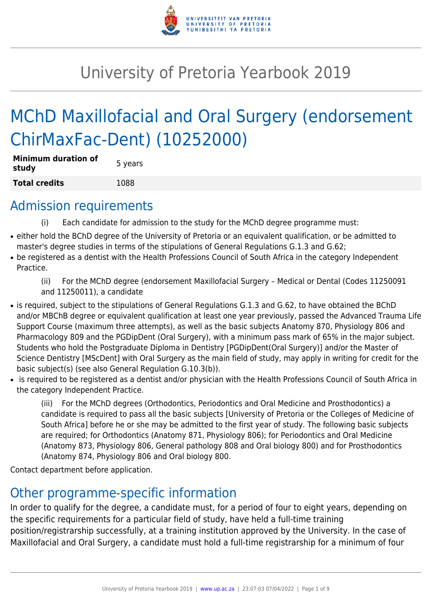

# University of Pretoria Yearbook 2019

# MChD Maxillofacial and Oral Surgery (endorsement ChirMaxFac-Dent) (10252000)

| <b>Minimum duration of</b><br>study | 5 years |
|-------------------------------------|---------|
| <b>Total credits</b>                | 1088    |

### Admission requirements

- (i) Each candidate for admission to the study for the MChD degree programme must:
- either hold the BChD degree of the University of Pretoria or an equivalent qualification, or be admitted to master's degree studies in terms of the stipulations of General Regulations G.1.3 and G.62;
- be registered as a dentist with the Health Professions Council of South Africa in the category Independent Practice.

(ii) For the MChD degree (endorsement Maxillofacial Surgery – Medical or Dental (Codes 11250091 and 11250011), a candidate

- is required, subject to the stipulations of General Regulations G.1.3 and G.62, to have obtained the BChD and/or MBChB degree or equivalent qualification at least one year previously, passed the Advanced Trauma Life Support Course (maximum three attempts), as well as the basic subjects Anatomy 870, Physiology 806 and Pharmacology 809 and the PGDipDent (Oral Surgery), with a minimum pass mark of 65% in the major subject. Students who hold the Postgraduate Diploma in Dentistry [PGDipDent(Oral Surgery)] and/or the Master of Science Dentistry [MScDent] with Oral Surgery as the main field of study, may apply in writing for credit for the basic subject(s) (see also General Regulation G.10.3(b)).
- is required to be registered as a dentist and/or physician with the Health Professions Council of South Africa in the category Independent Practice.

(iii) For the MChD degrees (Orthodontics, Periodontics and Oral Medicine and Prosthodontics) a candidate is required to pass all the basic subjects [University of Pretoria or the Colleges of Medicine of South Africa] before he or she may be admitted to the first year of study. The following basic subjects are required; for Orthodontics (Anatomy 871, Physiology 806); for Periodontics and Oral Medicine (Anatomy 873, Physiology 806, General pathology 808 and Oral biology 800) and for Prosthodontics (Anatomy 874, Physiology 806 and Oral biology 800.

Contact department before application.

# Other programme-specific information

In order to qualify for the degree, a candidate must, for a period of four to eight years, depending on the specific requirements for a particular field of study, have held a full-time training

position/registrarship successfully, at a training institution approved by the University. In the case of Maxillofacial and Oral Surgery, a candidate must hold a full-time registrarship for a minimum of four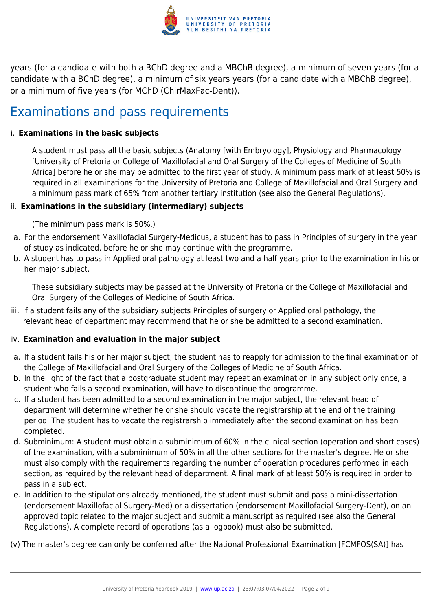

years (for a candidate with both a BChD degree and a MBChB degree), a minimum of seven years (for a candidate with a BChD degree), a minimum of six years years (for a candidate with a MBChB degree), or a minimum of five years (for MChD (ChirMaxFac-Dent)).

### Examinations and pass requirements

### i. **Examinations in the basic subjects**

A student must pass all the basic subjects (Anatomy [with Embryology], Physiology and Pharmacology [University of Pretoria or College of Maxillofacial and Oral Surgery of the Colleges of Medicine of South Africa] before he or she may be admitted to the first year of study. A minimum pass mark of at least 50% is required in all examinations for the University of Pretoria and College of Maxillofacial and Oral Surgery and a minimum pass mark of 65% from another tertiary institution (see also the General Regulations).

### ii. **Examinations in the subsidiary (intermediary) subjects**

(The minimum pass mark is 50%.)

- a. For the endorsement Maxillofacial Surgery-Medicus, a student has to pass in Principles of surgery in the year of study as indicated, before he or she may continue with the programme.
- b. A student has to pass in Applied oral pathology at least two and a half years prior to the examination in his or her major subject.

These subsidiary subjects may be passed at the University of Pretoria or the College of Maxillofacial and Oral Surgery of the Colleges of Medicine of South Africa.

iii. If a student fails any of the subsidiary subjects Principles of surgery or Applied oral pathology, the relevant head of department may recommend that he or she be admitted to a second examination.

#### iv. **Examination and evaluation in the major subject**

- a. If a student fails his or her major subject, the student has to reapply for admission to the final examination of the College of Maxillofacial and Oral Surgery of the Colleges of Medicine of South Africa.
- b. In the light of the fact that a postgraduate student may repeat an examination in any subject only once, a student who fails a second examination, will have to discontinue the programme.
- c. If a student has been admitted to a second examination in the major subject, the relevant head of department will determine whether he or she should vacate the registrarship at the end of the training period. The student has to vacate the registrarship immediately after the second examination has been completed.
- d. Subminimum: A student must obtain a subminimum of 60% in the clinical section (operation and short cases) of the examination, with a subminimum of 50% in all the other sections for the master's degree. He or she must also comply with the requirements regarding the number of operation procedures performed in each section, as required by the relevant head of department. A final mark of at least 50% is required in order to pass in a subject.
- e. In addition to the stipulations already mentioned, the student must submit and pass a mini-dissertation (endorsement Maxillofacial Surgery-Med) or a dissertation (endorsement Maxillofacial Surgery-Dent), on an approved topic related to the major subject and submit a manuscript as required (see also the General Regulations). A complete record of operations (as a logbook) must also be submitted.

(v) The master's degree can only be conferred after the National Professional Examination [FCMFOS(SA)] has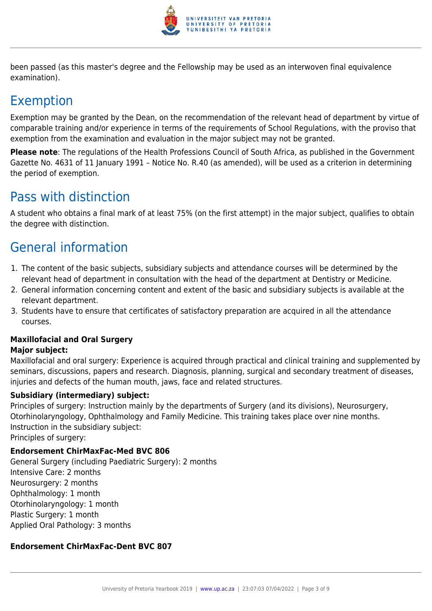

been passed (as this master's degree and the Fellowship may be used as an interwoven final equivalence examination).

# Exemption

Exemption may be granted by the Dean, on the recommendation of the relevant head of department by virtue of comparable training and/or experience in terms of the requirements of School Regulations, with the proviso that exemption from the examination and evaluation in the major subject may not be granted.

**Please note**: The regulations of the Health Professions Council of South Africa, as published in the Government Gazette No. 4631 of 11 January 1991 – Notice No. R.40 (as amended), will be used as a criterion in determining the period of exemption.

# Pass with distinction

A student who obtains a final mark of at least 75% (on the first attempt) in the major subject, qualifies to obtain the degree with distinction.

# General information

- 1. The content of the basic subjects, subsidiary subjects and attendance courses will be determined by the relevant head of department in consultation with the head of the department at Dentistry or Medicine.
- 2. General information concerning content and extent of the basic and subsidiary subjects is available at the relevant department.
- 3. Students have to ensure that certificates of satisfactory preparation are acquired in all the attendance courses.

### **Maxillofacial and Oral Surgery**

### **Major subject:**

Maxillofacial and oral surgery: Experience is acquired through practical and clinical training and supplemented by seminars, discussions, papers and research. Diagnosis, planning, surgical and secondary treatment of diseases, injuries and defects of the human mouth, jaws, face and related structures.

### **Subsidiary (intermediary) subject:**

Principles of surgery: Instruction mainly by the departments of Surgery (and its divisions), Neurosurgery, Otorhinolaryngology, Ophthalmology and Family Medicine. This training takes place over nine months. Instruction in the subsidiary subject:

Principles of surgery:

### **Endorsement ChirMaxFac-Med BVC 806**

General Surgery (including Paediatric Surgery): 2 months Intensive Care: 2 months Neurosurgery: 2 months Ophthalmology: 1 month Otorhinolaryngology: 1 month Plastic Surgery: 1 month Applied Oral Pathology: 3 months

### **Endorsement ChirMaxFac-Dent BVC 807**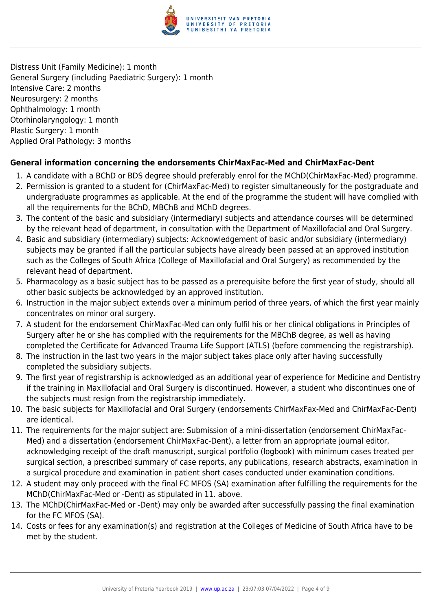

Distress Unit (Family Medicine): 1 month General Surgery (including Paediatric Surgery): 1 month Intensive Care: 2 months Neurosurgery: 2 months Ophthalmology: 1 month Otorhinolaryngology: 1 month Plastic Surgery: 1 month Applied Oral Pathology: 3 months

### **General information concerning the endorsements ChirMaxFac-Med and ChirMaxFac-Dent**

- 1. A candidate with a BChD or BDS degree should preferably enrol for the MChD(ChirMaxFac-Med) programme.
- 2. Permission is granted to a student for (ChirMaxFac-Med) to register simultaneously for the postgraduate and undergraduate programmes as applicable. At the end of the programme the student will have complied with all the requirements for the BChD, MBChB and MChD degrees.
- 3. The content of the basic and subsidiary (intermediary) subjects and attendance courses will be determined by the relevant head of department, in consultation with the Department of Maxillofacial and Oral Surgery.
- 4. Basic and subsidiary (intermediary) subjects: Acknowledgement of basic and/or subsidiary (intermediary) subjects may be granted if all the particular subjects have already been passed at an approved institution such as the Colleges of South Africa (College of Maxillofacial and Oral Surgery) as recommended by the relevant head of department.
- 5. Pharmacology as a basic subject has to be passed as a prerequisite before the first year of study, should all other basic subjects be acknowledged by an approved institution.
- 6. Instruction in the major subject extends over a minimum period of three years, of which the first year mainly concentrates on minor oral surgery.
- 7. A student for the endorsement ChirMaxFac-Med can only fulfil his or her clinical obligations in Principles of Surgery after he or she has complied with the requirements for the MBChB degree, as well as having completed the Certificate for Advanced Trauma Life Support (ATLS) (before commencing the registrarship).
- 8. The instruction in the last two years in the major subject takes place only after having successfully completed the subsidiary subjects.
- 9. The first year of registrarship is acknowledged as an additional year of experience for Medicine and Dentistry if the training in Maxillofacial and Oral Surgery is discontinued. However, a student who discontinues one of the subjects must resign from the registrarship immediately.
- 10. The basic subjects for Maxillofacial and Oral Surgery (endorsements ChirMaxFax-Med and ChirMaxFac-Dent) are identical.
- 11. The requirements for the major subject are: Submission of a mini-dissertation (endorsement ChirMaxFac-Med) and a dissertation (endorsement ChirMaxFac-Dent), a letter from an appropriate journal editor, acknowledging receipt of the draft manuscript, surgical portfolio (logbook) with minimum cases treated per surgical section, a prescribed summary of case reports, any publications, research abstracts, examination in a surgical procedure and examination in patient short cases conducted under examination conditions.
- 12. A student may only proceed with the final FC MFOS (SA) examination after fulfilling the requirements for the MChD(ChirMaxFac-Med or -Dent) as stipulated in 11. above.
- 13. The MChD(ChirMaxFac-Med or -Dent) may only be awarded after successfully passing the final examination for the FC MFOS (SA).
- 14. Costs or fees for any examination(s) and registration at the Colleges of Medicine of South Africa have to be met by the student.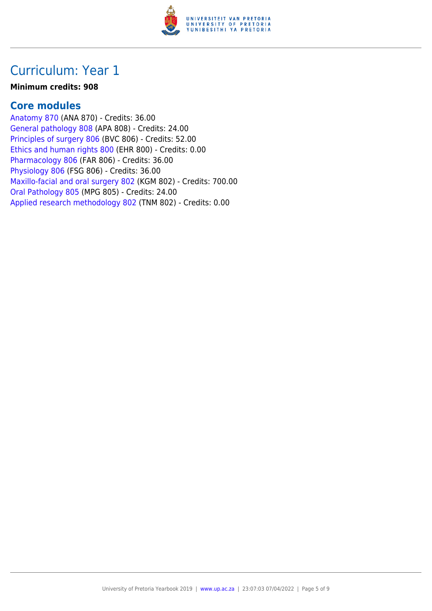

### **Minimum credits: 908**

### **Core modules**

[Anatomy 870](https://www.up.ac.za/faculty-of-education/yearbooks/2019/modules/view/ANA 870) (ANA 870) - Credits: 36.00 [General pathology 808](https://www.up.ac.za/faculty-of-education/yearbooks/2019/modules/view/APA 808) (APA 808) - Credits: 24.00 [Principles of surgery 806](https://www.up.ac.za/faculty-of-education/yearbooks/2019/modules/view/BVC 806) (BVC 806) - Credits: 52.00 [Ethics and human rights 800](https://www.up.ac.za/faculty-of-education/yearbooks/2019/modules/view/EHR 800) (EHR 800) - Credits: 0.00 [Pharmacology 806](https://www.up.ac.za/faculty-of-education/yearbooks/2019/modules/view/FAR 806) (FAR 806) - Credits: 36.00 [Physiology 806](https://www.up.ac.za/faculty-of-education/yearbooks/2019/modules/view/FSG 806) (FSG 806) - Credits: 36.00 [Maxillo-facial and oral surgery 802](https://www.up.ac.za/faculty-of-education/yearbooks/2019/modules/view/KGM 802) (KGM 802) - Credits: 700.00 [Oral Pathology 805](https://www.up.ac.za/faculty-of-education/yearbooks/2019/modules/view/MPG 805) (MPG 805) - Credits: 24.00 [Applied research methodology 802](https://www.up.ac.za/faculty-of-education/yearbooks/2019/modules/view/TNM 802) (TNM 802) - Credits: 0.00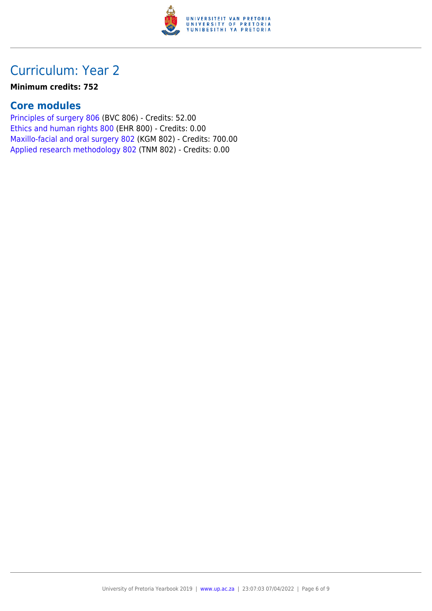

#### **Minimum credits: 752**

### **Core modules**

[Principles of surgery 806](https://www.up.ac.za/faculty-of-education/yearbooks/2019/modules/view/BVC 806) (BVC 806) - Credits: 52.00 [Ethics and human rights 800](https://www.up.ac.za/faculty-of-education/yearbooks/2019/modules/view/EHR 800) (EHR 800) - Credits: 0.00 [Maxillo-facial and oral surgery 802](https://www.up.ac.za/faculty-of-education/yearbooks/2019/modules/view/KGM 802) (KGM 802) - Credits: 700.00 [Applied research methodology 802](https://www.up.ac.za/faculty-of-education/yearbooks/2019/modules/view/TNM 802) (TNM 802) - Credits: 0.00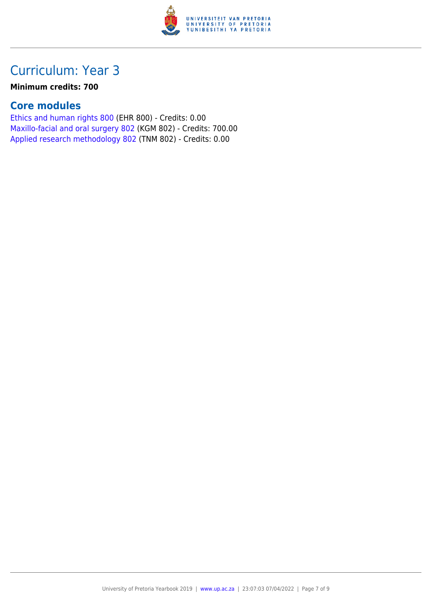

### **Minimum credits: 700**

### **Core modules**

[Ethics and human rights 800](https://www.up.ac.za/faculty-of-education/yearbooks/2019/modules/view/EHR 800) (EHR 800) - Credits: 0.00 [Maxillo-facial and oral surgery 802](https://www.up.ac.za/faculty-of-education/yearbooks/2019/modules/view/KGM 802) (KGM 802) - Credits: 700.00 [Applied research methodology 802](https://www.up.ac.za/faculty-of-education/yearbooks/2019/modules/view/TNM 802) (TNM 802) - Credits: 0.00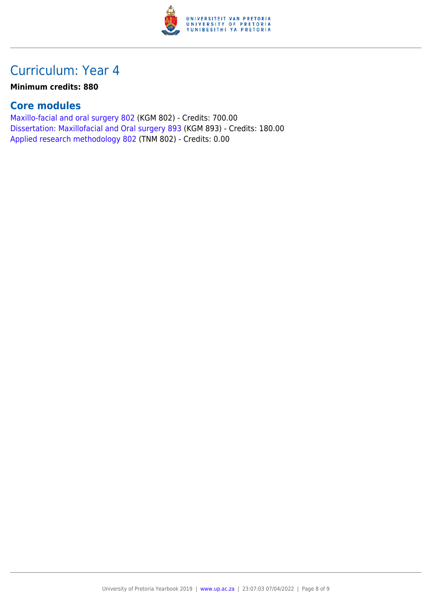

### **Minimum credits: 880**

### **Core modules**

[Maxillo-facial and oral surgery 802](https://www.up.ac.za/faculty-of-education/yearbooks/2019/modules/view/KGM 802) (KGM 802) - Credits: 700.00 [Dissertation: Maxillofacial and Oral surgery 893](https://www.up.ac.za/faculty-of-education/yearbooks/2019/modules/view/KGM 893) (KGM 893) - Credits: 180.00 [Applied research methodology 802](https://www.up.ac.za/faculty-of-education/yearbooks/2019/modules/view/TNM 802) (TNM 802) - Credits: 0.00